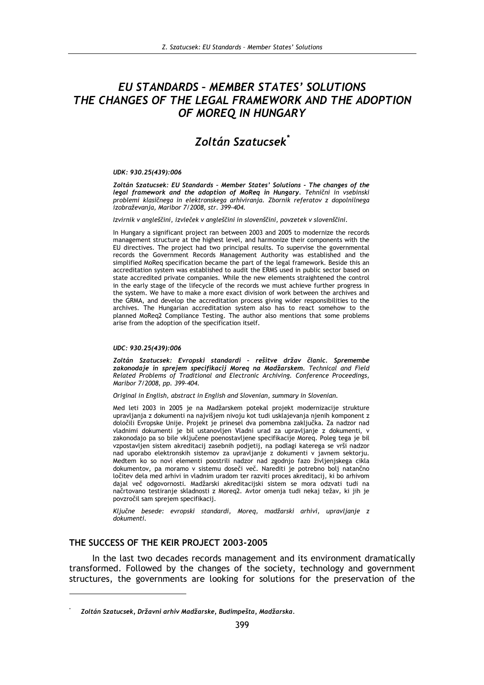# EU STANDARDS - MEMBER STATES' SOLUTIONS THE CHANGES OF THE LEGAL FRAMEWORK AND THE ADOPTION OF MOREO IN HUNGARY

## **Zoltán Szatucsek**\*

#### UDK: 930.25(439):006

Zoltán Szatucsek: EU Standards - Member States' Solutions - The changes of the legal framework and the adoption of MoRea in Hungary. Tehnični in vsebinski problemi klasičnega in elektronskega arhiviranja. Zbornik referatov z dopolnilnega izobraževanja, Maribor 7/2008, str. 399-404.

Izvirnik v angleščini, izvleček v angleščini in slovenščini, povzetek v slovenščini.

In Hungary a significant project ran between 2003 and 2005 to modernize the records management structure at the highest level, and harmonize their components with the EU directives. The project had two principal results. To supervise the governmental records the Government Records Management Authority was established and the simplified MoReq specification became the part of the legal framework. Beside this an accreditation system was established to audit the ERMS used in public sector based on state accredited private companies. While the new elements straightened the control in the early stage of the lifecycle of the records we must achieve further progress in the system. We have to make a more exact division of work between the archives and the GRMA, and develop the accreditation process giving wider responsibilities to the archives. The Hungarian accreditation system also has to react somehow to the planned MoReq2 Compliance Testing. The author also mentions that some problems arise from the adoption of the specification itself.

#### UDC: 930.25(439):006

Zoltán Szatucsek: Evropski standardi - rešitve držav članic. Spremembe zakonodaje in sprejem specifikacij Moreq na Madžarskem. Technical and Field Related Problems of Traditional and Electronic Archiving. Conference Proceedings, Maribor 7/2008, pp. 399-404.

Original in English, abstract in English and Slovenian, summary in Slovenian.

Med leti 2003 in 2005 je na Madžarskem potekal projekt modernizacije strukture upravljanja z dokumenti na najvišjem nivoju kot tudi usklajevanja njenih komponent z določili Evropske Unije. Projekt je prinesel dva pomembna zaključka. Za nadzor nad vladnimi dokumenti je bil ustanovljen Vladni urad za upravljanje z dokumenti, v zakonodajo pa so bile vključene poenostavljene specifikacije Moreq. Poleg tega je bil vzpostavljen sistem akreditacij zasebnih podjetij, na podlagi katerega se vrši nadzor nad uporabo elektronskih sistemov za upravljanje z dokumenti v javnem sektorju. Medtem ko so novi elementi poostrili nadzor nad zgodnjo fazo življenjskega cikla dokumentov, pa moramo v sistemu doseči več. Narediti je potrebno bolj natančno ločitev dela med arhivi in vladnim uradom ter razviti proces akreditacij, ki bo arhivom dajal več odgovornosti. Madžarski akreditacijski sistem se mora odzvati tudi na načrtovano testiranje skladnosti z Moreq2. Avtor omenja tudi nekaj težav, ki jih je povzročil sam sprejem specifikacij.

Ključne besede: evropski standardi, Moreq, madžarski arhivi, upravljanje z dokumenti

#### THE SUCCESS OF THE KEIR PROJECT 2003-2005

In the last two decades records management and its environment dramatically transformed. Followed by the changes of the society, technology and government structures, the governments are looking for solutions for the preservation of the

Zoltán Szatucsek, Državni arhiv Madžarske, Budimpešta, Madžarska,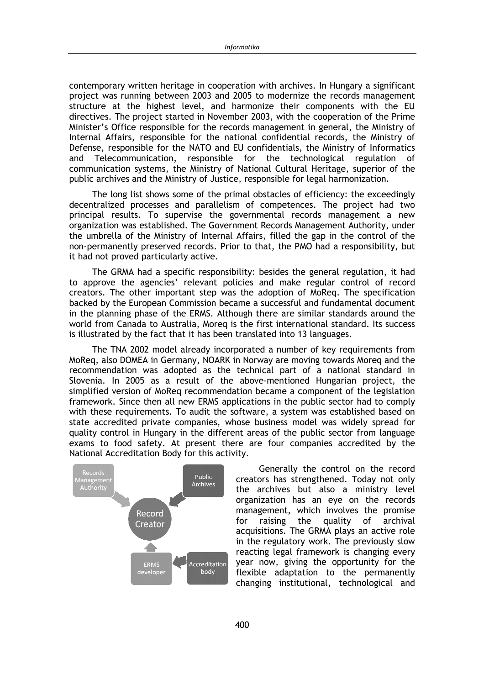contemporary written heritage in cooperation with archives. In Hungary a significant project was running between 2003 and 2005 to modernize the records management structure at the highest level, and harmonize their components with the EU directives. The project started in November 2003, with the cooperation of the Prime Minister's Office responsible for the records management in general, the Ministry of Internal Affairs, responsible for the national confidential records, the Ministry of Defense, responsible for the NATO and EU confidentials, the Ministry of Informatics Telecommunication, responsible for the technological regulation of and communication systems, the Ministry of National Cultural Heritage, superior of the public archives and the Ministry of Justice, responsible for legal harmonization.

The long list shows some of the primal obstacles of efficiency: the exceedingly decentralized processes and parallelism of competences. The project had two principal results. To supervise the governmental records management a new organization was established. The Government Records Management Authority, under the umbrella of the Ministry of Internal Affairs, filled the gap in the control of the non-permanently preserved records. Prior to that, the PMO had a responsibility, but it had not proved particularly active.

The GRMA had a specific responsibility: besides the general regulation, it had to approve the agencies' relevant policies and make regular control of record creators. The other important step was the adoption of MoReq. The specification backed by the European Commission became a successful and fundamental document in the planning phase of the ERMS. Although there are similar standards around the world from Canada to Australia, Moreg is the first international standard. Its success is illustrated by the fact that it has been translated into 13 languages.

The TNA 2002 model already incorporated a number of key requirements from MoReq, also DOMEA in Germany, NOARK in Norway are moving towards Moreq and the recommendation was adopted as the technical part of a national standard in Slovenia. In 2005 as a result of the above-mentioned Hungarian project, the simplified version of MoReq recommendation became a component of the legislation framework. Since then all new ERMS applications in the public sector had to comply with these requirements. To audit the software, a system was established based on state accredited private companies, whose business model was widely spread for quality control in Hungary in the different areas of the public sector from language exams to food safety. At present there are four companies accredited by the National Accreditation Body for this activity.



Generally the control on the record creators has strengthened. Today not only the archives but also a ministry level organization has an eye on the records management, which involves the promise for raising the quality of archival acquisitions. The GRMA plays an active role in the regulatory work. The previously slow reacting legal framework is changing every year now, giving the opportunity for the flexible adaptation to the permanently changing institutional, technological and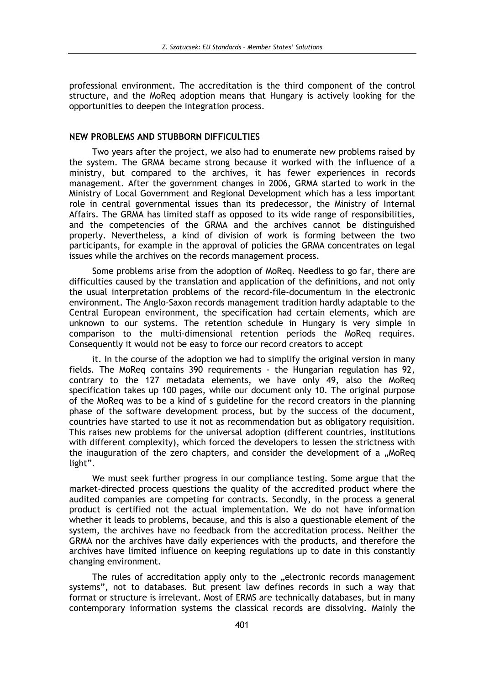professional environment. The accreditation is the third component of the control structure, and the MoReg adoption means that Hungary is actively looking for the opportunities to deepen the integration process.

### NEW PROBLEMS AND STUBBORN DIFFICULTIES

Two years after the project, we also had to enumerate new problems raised by the system. The GRMA became strong because it worked with the influence of a ministry, but compared to the archives, it has fewer experiences in records management. After the government changes in 2006, GRMA started to work in the Ministry of Local Government and Regional Development which has a less important role in central governmental issues than its predecessor, the Ministry of Internal Affairs. The GRMA has limited staff as opposed to its wide range of responsibilities, and the competencies of the GRMA and the archives cannot be distinguished properly. Nevertheless, a kind of division of work is forming between the two participants, for example in the approval of policies the GRMA concentrates on legal issues while the archives on the records management process.

Some problems arise from the adoption of MoReg. Needless to go far, there are difficulties caused by the translation and application of the definitions, and not only the usual interpretation problems of the record-file-documentum in the electronic environment. The Anglo-Saxon records management tradition hardly adaptable to the Central European environment, the specification had certain elements, which are unknown to our systems. The retention schedule in Hungary is very simple in comparison to the multi-dimensional retention periods the MoReq requires. Consequently it would not be easy to force our record creators to accept

it. In the course of the adoption we had to simplify the original version in many fields. The MoReq contains 390 requirements - the Hungarian regulation has 92, contrary to the 127 metadata elements, we have only 49, also the MoReq specification takes up 100 pages, while our document only 10. The original purpose of the MoReg was to be a kind of s guideline for the record creators in the planning phase of the software development process, but by the success of the document, countries have started to use it not as recommendation but as obligatory requisition. This raises new problems for the universal adoption (different countries, institutions with different complexity), which forced the developers to lessen the strictness with the inauguration of the zero chapters, and consider the development of a "MoReq light".

We must seek further progress in our compliance testing. Some argue that the market-directed process questions the quality of the accredited product where the audited companies are competing for contracts. Secondly, in the process a general product is certified not the actual implementation. We do not have information whether it leads to problems, because, and this is also a questionable element of the system, the archives have no feedback from the accreditation process. Neither the GRMA nor the archives have daily experiences with the products, and therefore the archives have limited influence on keeping regulations up to date in this constantly changing environment.

The rules of accreditation apply only to the "electronic records management systems", not to databases. But present law defines records in such a way that format or structure is irrelevant. Most of ERMS are technically databases, but in many contemporary information systems the classical records are dissolving. Mainly the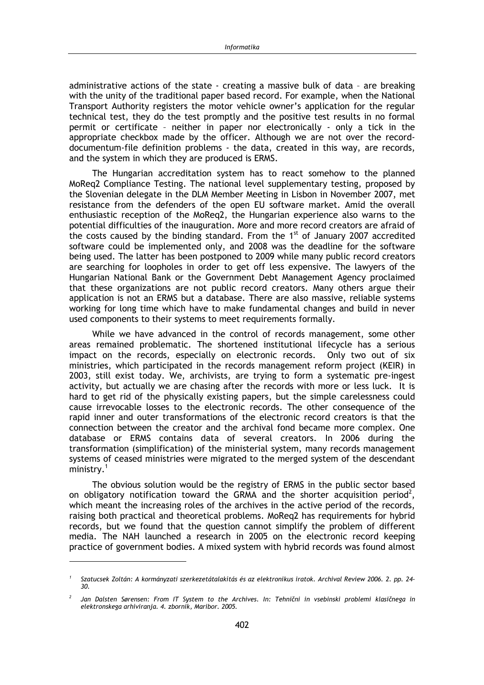administrative actions of the state - creating a massive bulk of data - are breaking with the unity of the traditional paper based record. For example, when the National Transport Authority registers the motor vehicle owner's application for the regular technical test, they do the test promptly and the positive test results in no formal permit or certificate - neither in paper nor electronically - only a tick in the appropriate checkbox made by the officer. Although we are not over the recorddocumentum-file definition problems - the data, created in this way, are records, and the system in which they are produced is ERMS.

The Hungarian accreditation system has to react somehow to the planned MoReg2 Compliance Testing. The national level supplementary testing, proposed by the Slovenian delegate in the DLM Member Meeting in Lisbon in November 2007, met resistance from the defenders of the open EU software market. Amid the overall enthusiastic reception of the MoReq2, the Hungarian experience also warns to the potential difficulties of the inauguration. More and more record creators are afraid of the costs caused by the binding standard. From the 1<sup>st</sup> of January 2007 accredited software could be implemented only, and 2008 was the deadline for the software being used. The latter has been postponed to 2009 while many public record creators are searching for loopholes in order to get off less expensive. The lawyers of the Hungarian National Bank or the Government Debt Management Agency proclaimed that these organizations are not public record creators. Many others argue their application is not an ERMS but a database. There are also massive, reliable systems working for long time which have to make fundamental changes and build in never used components to their systems to meet requirements formally.

While we have advanced in the control of records management, some other areas remained problematic. The shortened institutional lifecycle has a serious impact on the records, especially on electronic records. Only two out of six ministries, which participated in the records management reform project (KEIR) in 2003, still exist today. We, archivists, are trying to form a systematic pre-ingest activity, but actually we are chasing after the records with more or less luck. It is hard to get rid of the physically existing papers, but the simple carelessness could cause irrevocable losses to the electronic records. The other consequence of the rapid inner and outer transformations of the electronic record creators is that the connection between the creator and the archival fond became more complex. One database or ERMS contains data of several creators. In 2006 during the transformation (simplification) of the ministerial system, many records management systems of ceased ministries were migrated to the merged system of the descendant  $ministry.<sup>1</sup>$ 

The obvious solution would be the registry of ERMS in the public sector based on obligatory notification toward the GRMA and the shorter acquisition period<sup>2</sup>. which meant the increasing roles of the archives in the active period of the records, raising both practical and theoretical problems. MoReg2 has reguirements for hybrid records, but we found that the question cannot simplify the problem of different media. The NAH launched a research in 2005 on the electronic record keeping practice of government bodies. A mixed system with hybrid records was found almost

Szatucsek Zoltán: A kormányzati szerkezetátalakítás és az elektronikus iratok. Archival Review 2006. 2. pp. 24- $30.$ 

Jan Dalsten Sørensen: From IT System to the Archives. In: Tehnični in vsebinski problemi klasičnega in elektronskega arhiviranja. 4. zbornik, Maribor. 2005.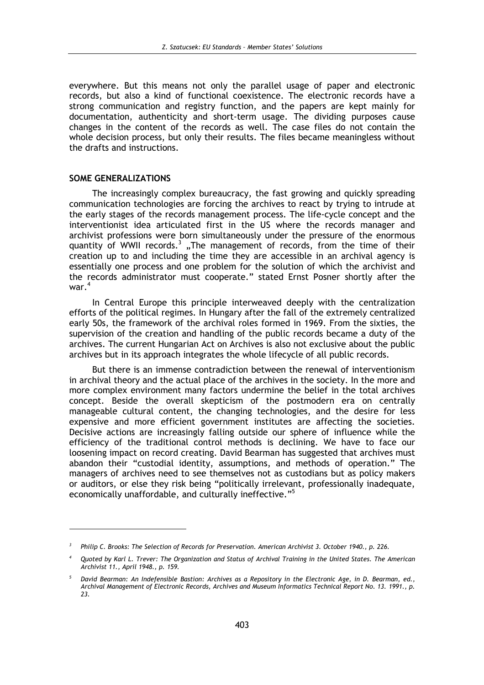everywhere. But this means not only the parallel usage of paper and electronic records, but also a kind of functional coexistence. The electronic records have a strong communication and registry function, and the papers are kept mainly for documentation, authenticity and short-term usage. The dividing purposes cause changes in the content of the records as well. The case files do not contain the whole decision process, but only their results. The files became meaningless without the drafts and instructions.

#### **SOME GENERALIZATIONS**

The increasingly complex bureaucracy, the fast growing and quickly spreading communication technologies are forcing the archives to react by trying to intrude at the early stages of the records management process. The life-cycle concept and the interventionist idea articulated first in the US where the records manager and archivist professions were born simultaneously under the pressure of the enormous quantity of WWII records.<sup>3</sup> "The management of records, from the time of their creation up to and including the time they are accessible in an archival agency is essentially one process and one problem for the solution of which the archivist and the records administrator must cooperate." stated Ernst Posner shortly after the war. $<sup>4</sup>$ </sup>

In Central Europe this principle interweaved deeply with the centralization efforts of the political regimes. In Hungary after the fall of the extremely centralized early 50s, the framework of the archival roles formed in 1969. From the sixties, the supervision of the creation and handling of the public records became a duty of the archives. The current Hungarian Act on Archives is also not exclusive about the public archives but in its approach integrates the whole lifecycle of all public records.

But there is an immense contradiction between the renewal of interventionism in archival theory and the actual place of the archives in the society. In the more and more complex environment many factors undermine the belief in the total archives concept. Beside the overall skepticism of the postmodern era on centrally manageable cultural content, the changing technologies, and the desire for less expensive and more efficient government institutes are affecting the societies. Decisive actions are increasingly falling outside our sphere of influence while the efficiency of the traditional control methods is declining. We have to face our loosening impact on record creating. David Bearman has suggested that archives must abandon their "custodial identity, assumptions, and methods of operation." The managers of archives need to see themselves not as custodians but as policy makers or auditors, or else they risk being "politically irrelevant, professionally inadequate, economically unaffordable, and culturally ineffective."<sup>5</sup>

Philip C. Brooks: The Selection of Records for Preservation. American Archivist 3. October 1940., p. 226.

Ouoted by Karl L. Trever: The Organization and Status of Archival Training in the United States. The American Archivist 11., April 1948., p. 159.

David Bearman: An Indefensible Bastion: Archives as a Repository in the Electronic Age, in D. Bearman, ed., Archival Management of Electronic Records, Archives and Museum Informatics Technical Report No. 13. 1991., p. 23.